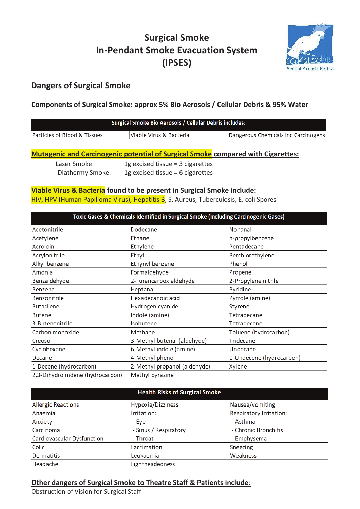# **Surgical Smoke In-Pendant Smoke Evacuation System (IPSES)**



## **Dangers of Surgical Smoke**

### **Components of Surgical Smoke: approx 5% Bio Aerosols / Cellular Debris & 95% Water**

| Surgical Smoke Bio Aerosols / Cellular Debris includes: |                         |                                     |  |  |
|---------------------------------------------------------|-------------------------|-------------------------------------|--|--|
| Particles of Blood & Tissues                            | Viable Virus & Bacteria | Dangerous Chemicals inc Carcinogens |  |  |

#### **Mutagenic and Carcinogenic potential of Surgical Smoke compared with Cigarettes:**

 Laser Smoke: 1g excised tissue = 3 cigarettes Diathermy Smoke: 1g excised tissue = 6 cigarettes

#### **Viable Virus & Bacteria found to be present in Surgical Smoke include:**

HIV, HPV (Human Papilloma Virus), Hepatitis B, S. Aureus, Tuberculosis, E. coli Spores

| Toxic Gases & Chemicals Identified in Surgical Smoke (Including Carcinogenic Gases) |                              |                          |  |  |
|-------------------------------------------------------------------------------------|------------------------------|--------------------------|--|--|
| Acetonitrile                                                                        | Dodecane                     | Nonanal                  |  |  |
| Acetylene                                                                           | Ethane                       | n-propylbenzene          |  |  |
| Acroloin                                                                            | Ethylene                     | Pentadecane              |  |  |
| Acrylonitrile                                                                       | Ethyl                        | Perchlorethylene         |  |  |
| Alkyl benzene                                                                       | Ethynyl benzene              | Phenol                   |  |  |
| Amonia                                                                              | Formaldehyde                 | Propene                  |  |  |
| Benzaldehyde                                                                        | 2-Furancarbox aldehyde       | 2-Propylene nitrile      |  |  |
| Benzene                                                                             | Heptanal                     | Pyridine                 |  |  |
| Benzonitrile                                                                        | Hexadecanoic acid            | Pyrrole (amine)          |  |  |
| <b>Butadiene</b>                                                                    | Hydrogen cyanide             | Styrene                  |  |  |
| <b>Butene</b>                                                                       | Indole (amine)               | Tetradecane              |  |  |
| 3-Butenenitrile                                                                     | Isobutene                    | Tetradecene              |  |  |
| Carbon monoxide                                                                     | Methane                      | Toluene (hydrocarbon)    |  |  |
| Creosol                                                                             | 3-Methyl butenal (aldehyde)  | Tridecane                |  |  |
| Cyclohexane                                                                         | 6-Methyl indole (amine)      | Undecane                 |  |  |
| Decane                                                                              | 4-Methyl phenol              | 1-Undecene (hydrocarbon) |  |  |
| 1-Decene (hydrocarbon)                                                              | 2-Methyl propanol (aldehyde) | Xylene                   |  |  |
| 2,3-Dihydro indene (hydrocarbon)                                                    | Methyl pyrazine              |                          |  |  |

| <b>Health Risks of Surgical Smoke</b> |                       |                         |  |  |  |
|---------------------------------------|-----------------------|-------------------------|--|--|--|
| <b>Allergic Reactions</b>             | Hypoxia/Dizziness     | Nausea/vomiting         |  |  |  |
| Anaemia                               | Irritation:           | Respiratory Irritation: |  |  |  |
| Anxiety                               | - Eye                 | - Asthma                |  |  |  |
| Carcinoma                             | - Sinus / Respiratory | - Chronic Bronchitis    |  |  |  |
| Cardiovascular Dysfunction            | - Throat              | - Emphysema             |  |  |  |
| Colic                                 | Lacrimation           | Sneezing                |  |  |  |
| Dermatitis                            | Leukaemia             | Weakness                |  |  |  |
| Headache                              | Lightheadedness       |                         |  |  |  |

### **Other dangers of Surgical Smoke to Theatre Staff & Patients include**:

Obstruction of Vision for Surgical Staff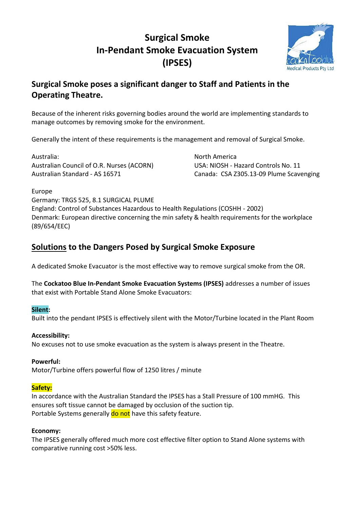# **Surgical Smoke In-Pendant Smoke Evacuation System (IPSES)**



# **Surgical Smoke poses a significant danger to Staff and Patients in the Operating Theatre.**

Because of the inherent risks governing bodies around the world are implementing standards to manage outcomes by removing smoke for the environment.

Generally the intent of these requirements is the management and removal of Surgical Smoke.

Australia: North America Australian Council of O.R. Nurses (ACORN) USA: NIOSH - Hazard Controls No. 11

Australian Standard - AS 16571 Canada: CSA Z305.13-09 Plume Scavenging

Europe

Germany: TRGS 525, 8.1 SURGICAL PLUME England: Control of Substances Hazardous to Health Regulations (COSHH - 2002) Denmark: European directive concerning the min safety & health requirements for the workplace (89/654/EEC)

## **Solutions to the Dangers Posed by Surgical Smoke Exposure**

A dedicated Smoke Evacuator is the most effective way to remove surgical smoke from the OR.

The **Cockatoo Blue In-Pendant Smoke Evacuation Systems (IPSES)** addresses a number of issues that exist with Portable Stand Alone Smoke Evacuators:

### **Silent:**

Built into the pendant IPSES is effectively silent with the Motor/Turbine located in the Plant Room

## **Accessibility:**

No excuses not to use smoke evacuation as the system is always present in the Theatre.

## **Powerful:**

Motor/Turbine offers powerful flow of 1250 litres / minute

## **Safety:**

In accordance with the Australian Standard the IPSES has a Stall Pressure of 100 mmHG. This ensures soft tissue cannot be damaged by occlusion of the suction tip. Portable Systems generally do not have this safety feature.

### **Economy:**

The IPSES generally offered much more cost effective filter option to Stand Alone systems with comparative running cost >50% less.